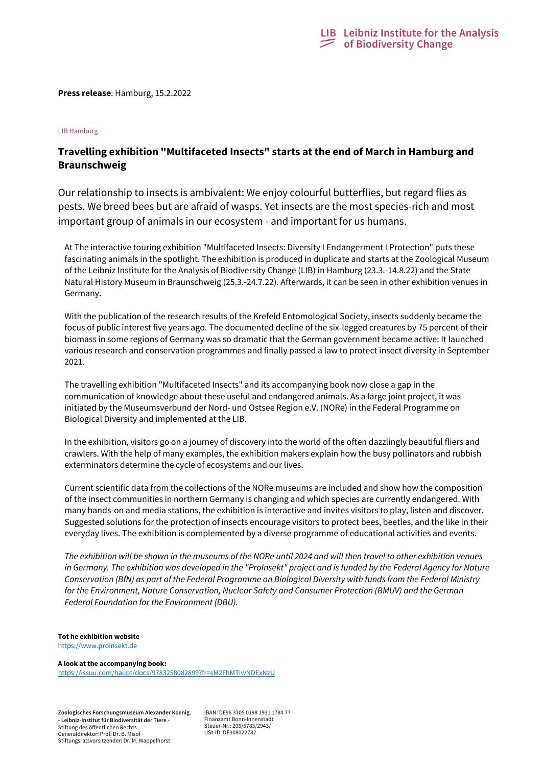

**Press release**: Hamburg, 15.2.2022

## LIB Hamburg

# **Travelling exhibition "Multifaceted Insects" starts at the end of March in Hamburg and Braunschweig**

Our relationship to insects is ambivalent: We enjoy colourful butterflies, but regard flies as pests. We breed bees but are afraid of wasps. Yet insects are the most species-rich and most important group of animals in our ecosystem - and important for us humans.

At The interactive touring exhibition "Multifaceted Insects: Diversity I Endangerment I Protection" puts these fascinating animals in the spotlight. The exhibition is produced in duplicate and starts at the Zoological Museum of the Leibniz Institute for the Analysis of Biodiversity Change (LIB) in Hamburg (23.3.-14.8.22) and the State Natural History Museum in Braunschweig (25.3.-24.7.22). Afterwards, it can be seen in other exhibition venues in Germany.

With the publication of the research results of the Krefeld Entomological Society, insects suddenly became the focus of public interest five years ago. The documented decline of the six-legged creatures by 75 percent of their biomass in some regions of Germany was so dramatic that the German government became active: It launched various research and conservation programmes and finally passed a law to protect insect diversity in September 2021.

The travelling exhibition "Multifaceted Insects" and its accompanying book now close a gap in the communication of knowledge about these useful and endangered animals. As a large joint project, it was initiated by the Museumsverbund der Nord- und Ostsee Region e.V. (NORe) in the Federal Programme on Biological Diversity and implemented at the LIB.

In the exhibition, visitors go on a journey of discovery into the world of the often dazzlingly beautiful fliers and crawlers. With the help of many examples, the exhibition makers explain how the busy pollinators and rubbish exterminators determine the cycle of ecosystems and our lives.

Current scientific data from the collections of the NORe museums are included and show how the composition of the insect communities in northern Germany is changing and which species are currently endangered. With many hands-on and media stations, the exhibition is interactive and invites visitors to play, listen and discover. Suggested solutions for the protection of insects encourage visitors to protect bees, beetles, and the like in their everyday lives. The exhibition is complemented by a diverse programme of educational activities and events.

*The exhibition will be shown in the museums of the NORe until 2024 and will then travel to other exhibition venues*  in Germany. The exhibition was developed in the "ProInsekt" project and is funded by the Federal Agency for Nature *Conservation (BfN) as part of the Federal Programme on Biological Diversity with funds from the Federal Ministry for the Environment, Nature Conservation, Nuclear Safety and Consumer Protection (BMUV) and the German Federal Foundation for the Environment (DBU).*

## **Tot he exhibition website**

https://www.proinsekt.de

### **A look at the accompanying book:**

<https://issuu.com/haupt/docs/9783258082899?fr=sM2FhMTIwNDExNzU>

**Zoologisches Forschungsmuseum Alexander Koenig. - Leibniz-Institut für Biodiversität der Tiere -** Stiftung des öffentlichen Rechts Generaldirektor: Prof. Dr. B. Misof Stiftungsratsvorsitzender: Dr. M. Wappelhorst

IBAN: DE96 3705 0198 1931 1784 77 Finanzamt Bonn-Innenstadt Steuer-Nr.: 205/5783/2943/ USt-ID: DE308022782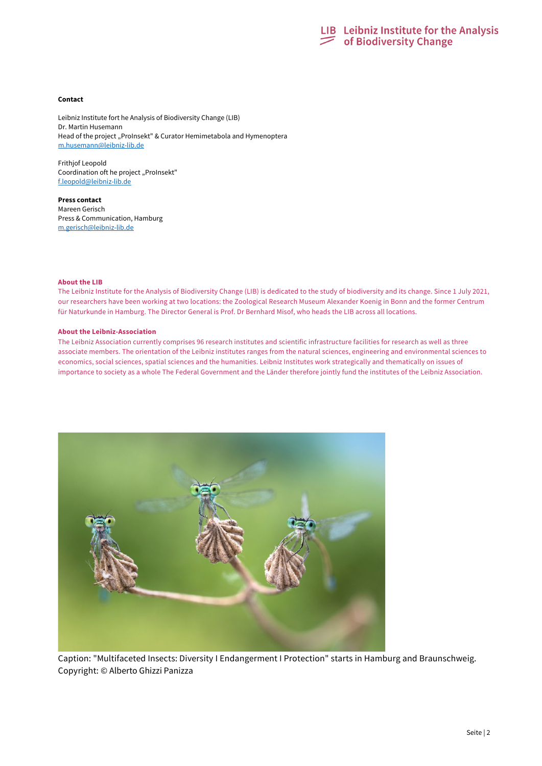

#### **Contact**

Leibniz Institute fort he Analysis of Biodiversity Change (LIB) Dr. Martin Husemann Head of the project "ProInsekt" & Curator Hemimetabola and Hymenoptera [m.husemann@leibniz-lib.de](mailto:m.husemann@leibniz-lib.de)

Frithjof Leopold Coordination oft he project "ProInsekt" [f.leopold@leibniz-lib.de](mailto:f.leopold@leibniz-lib.de)

**Press contact** Mareen Gerisch Press & Communication, Hamburg [m.gerisch@leibniz-lib.de](mailto:m.gerisch@leibniz-lib.de)

#### **About the LIB**

The Leibniz Institute for the Analysis of Biodiversity Change (LIB) is dedicated to the study of biodiversity and its change. Since 1 July 2021, our researchers have been working at two locations: the Zoological Research Museum Alexander Koenig in Bonn and the former Centrum für Naturkunde in Hamburg. The Director General is Prof. Dr Bernhard Misof, who heads the LIB across all locations.

#### **About the Leibniz-Association**

The Leibniz Association currently comprises 96 research institutes and scientific infrastructure facilities for research as well as three associate members. The orientation of the Leibniz institutes ranges from the natural sciences, engineering and environmental sciences to economics, social sciences, spatial sciences and the humanities. Leibniz Institutes work strategically and thematically on issues of importance to society as a whole The Federal Government and the Länder therefore jointly fund the institutes of the Leibniz Association.



Caption: "Multifaceted Insects: Diversity I Endangerment I Protection" starts in Hamburg and Braunschweig. Copyright: © Alberto Ghizzi Panizza